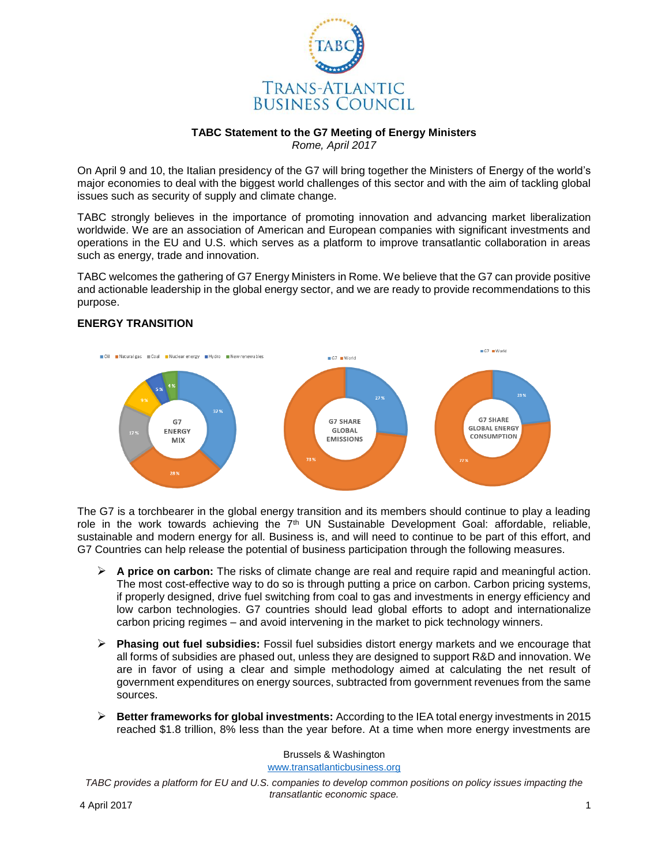

# **TABC Statement to the G7 Meeting of Energy Ministers**

*Rome, April 2017*

On April 9 and 10, the Italian presidency of the G7 will bring together the Ministers of Energy of the world's major economies to deal with the biggest world challenges of this sector and with the aim of tackling global issues such as security of supply and climate change.

TABC strongly believes in the importance of promoting innovation and advancing market liberalization worldwide. We are an association of American and European companies with significant investments and operations in the EU and U.S. which serves as a platform to improve transatlantic collaboration in areas such as energy, trade and innovation.

TABC welcomes the gathering of G7 Energy Ministers in Rome. We believe that the G7 can provide positive and actionable leadership in the global energy sector, and we are ready to provide recommendations to this purpose.

#### $\blacksquare$  G7  $\blacksquare$  World ■ Oil ■ Natural gas ■ Coal ■ Nuclear energy ■ Hydro ■ New renewables G7 World 379 **G7 SHARE G7 SHARE** G7 **GLOBAL ENERGY GLOBAL FNFRGY CONSUMPTION EMISSIONS** MIX

### **ENERGY TRANSITION**

The G7 is a torchbearer in the global energy transition and its members should continue to play a leading role in the work towards achieving the 7<sup>th</sup> UN Sustainable Development Goal: affordable, reliable, sustainable and modern energy for all. Business is, and will need to continue to be part of this effort, and G7 Countries can help release the potential of business participation through the following measures.

- **A price on carbon:** The risks of climate change are real and require rapid and meaningful action. The most cost-effective way to do so is through putting a price on carbon. Carbon pricing systems, if properly designed, drive fuel switching from coal to gas and investments in energy efficiency and low carbon technologies. G7 countries should lead global efforts to adopt and internationalize carbon pricing regimes – and avoid intervening in the market to pick technology winners.
- **Phasing out fuel subsidies:** Fossil fuel subsidies distort energy markets and we encourage that all forms of subsidies are phased out, unless they are designed to support R&D and innovation. We are in favor of using a clear and simple methodology aimed at calculating the net result of government expenditures on energy sources, subtracted from government revenues from the same sources.
- **Better frameworks for global investments:** According to the IEA total energy investments in 2015 reached \$1.8 trillion, 8% less than the year before. At a time when more energy investments are

Brussels & Washington [www.transatlanticbusiness.org](http://www.transatlanticbusiness.org/)

*TABC provides a platform for EU and U.S. companies to develop common positions on policy issues impacting the transatlantic economic space.*